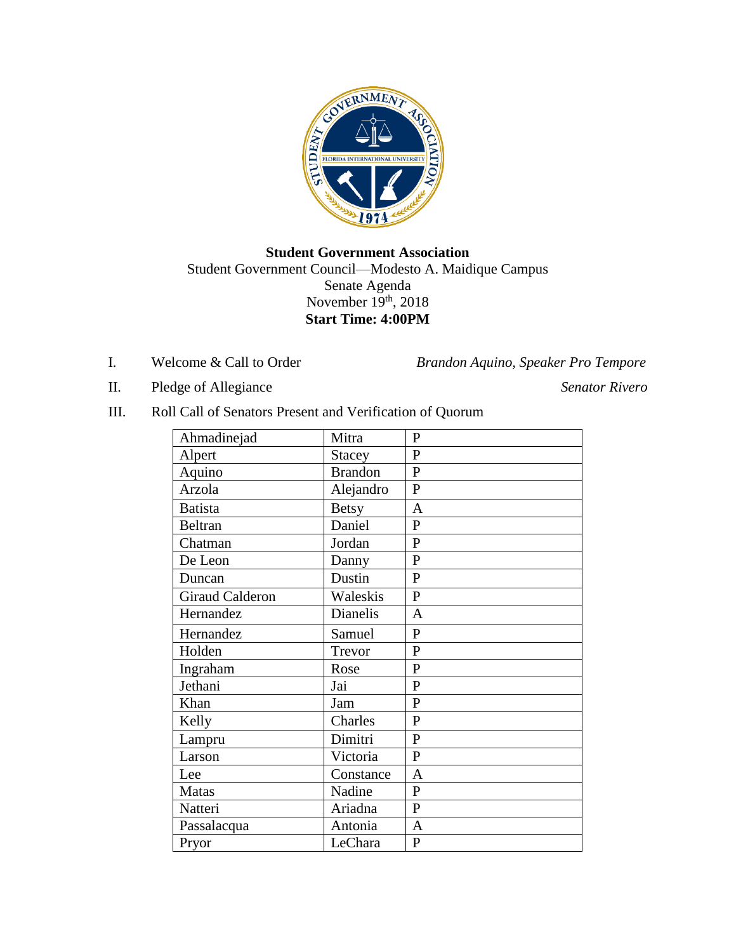

**Student Government Association** Student Government Council—Modesto A. Maidique Campus Senate Agenda November 19<sup>th</sup>, 2018 **Start Time: 4:00PM**

I. Welcome & Call to Order *Brandon Aquino, Speaker Pro Tempore*

- II. Pledge of Allegiance *Senator Rivero*
- III. Roll Call of Senators Present and Verification of Quorum

| Ahmadinejad            | Mitra           | P              |
|------------------------|-----------------|----------------|
| Alpert                 | <b>Stacey</b>   | $\mathbf{P}$   |
| Aquino                 | <b>Brandon</b>  | $\mathbf{P}$   |
| Arzola                 | Alejandro       | $\mathbf{P}$   |
| <b>Batista</b>         | <b>Betsy</b>    | A              |
| Beltran                | Daniel          | $\mathbf P$    |
| Chatman                | Jordan          | $\mathbf P$    |
| De Leon                | Danny           | $\mathbf P$    |
| Duncan                 | Dustin          | ${\bf P}$      |
| <b>Giraud Calderon</b> | Waleskis        | $\mathbf{P}$   |
| Hernandez              | <b>Dianelis</b> | $\overline{A}$ |
| Hernandez              | Samuel          | $\mathbf P$    |
| Holden                 | Trevor          | $\mathbf{P}$   |
| Ingraham               | Rose            | $\mathbf P$    |
| Jethani                | Jai             | $\mathbf{P}$   |
| Khan                   | Jam             | $\mathbf P$    |
| Kelly                  | Charles         | $\mathbf P$    |
| Lampru                 | Dimitri         | $\overline{P}$ |
| Larson                 | Victoria        | $\overline{P}$ |
| Lee                    | Constance       | $\overline{A}$ |
| <b>Matas</b>           | Nadine          | $\mathbf{P}$   |
| Natteri                | Ariadna         | $\overline{P}$ |
| Passalacqua            | Antonia         | A              |
| Pryor                  | LeChara         | $\mathbf P$    |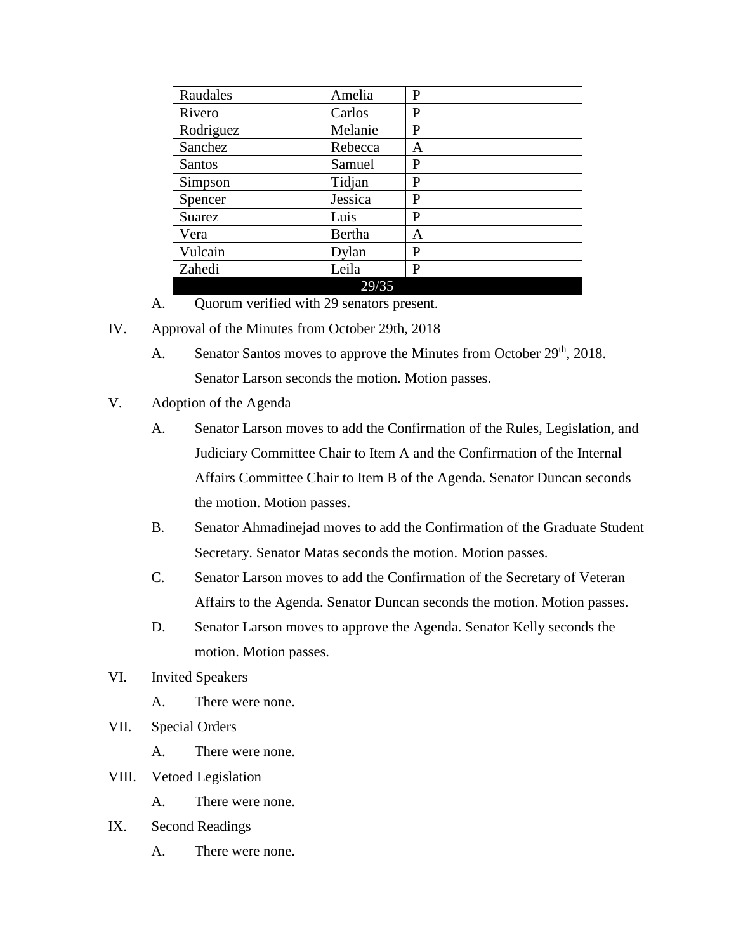| Raudales  | Amelia  | P |
|-----------|---------|---|
| Rivero    | Carlos  | P |
| Rodriguez | Melanie | P |
| Sanchez   | Rebecca | A |
| Santos    | Samuel  | P |
| Simpson   | Tidjan  | P |
| Spencer   | Jessica | P |
| Suarez    | Luis    | P |
| Vera      | Bertha  | A |
| Vulcain   | Dylan   | P |
| Zahedi    | Leila   | P |
|           | 29/35   |   |

- A. Quorum verified with 29 senators present.
- IV. Approval of the Minutes from October 29th, 2018
	- A. Senator Santos moves to approve the Minutes from October 29<sup>th</sup>, 2018. Senator Larson seconds the motion. Motion passes.
- V. Adoption of the Agenda
	- A. Senator Larson moves to add the Confirmation of the Rules, Legislation, and Judiciary Committee Chair to Item A and the Confirmation of the Internal Affairs Committee Chair to Item B of the Agenda. Senator Duncan seconds the motion. Motion passes.
	- B. Senator Ahmadinejad moves to add the Confirmation of the Graduate Student Secretary. Senator Matas seconds the motion. Motion passes.
	- C. Senator Larson moves to add the Confirmation of the Secretary of Veteran Affairs to the Agenda. Senator Duncan seconds the motion. Motion passes.
	- D. Senator Larson moves to approve the Agenda. Senator Kelly seconds the motion. Motion passes.
- VI. Invited Speakers
	- A. There were none.
- VII. Special Orders
	- A. There were none.
- VIII. Vetoed Legislation
	- A. There were none.
- IX. Second Readings
	- A. There were none.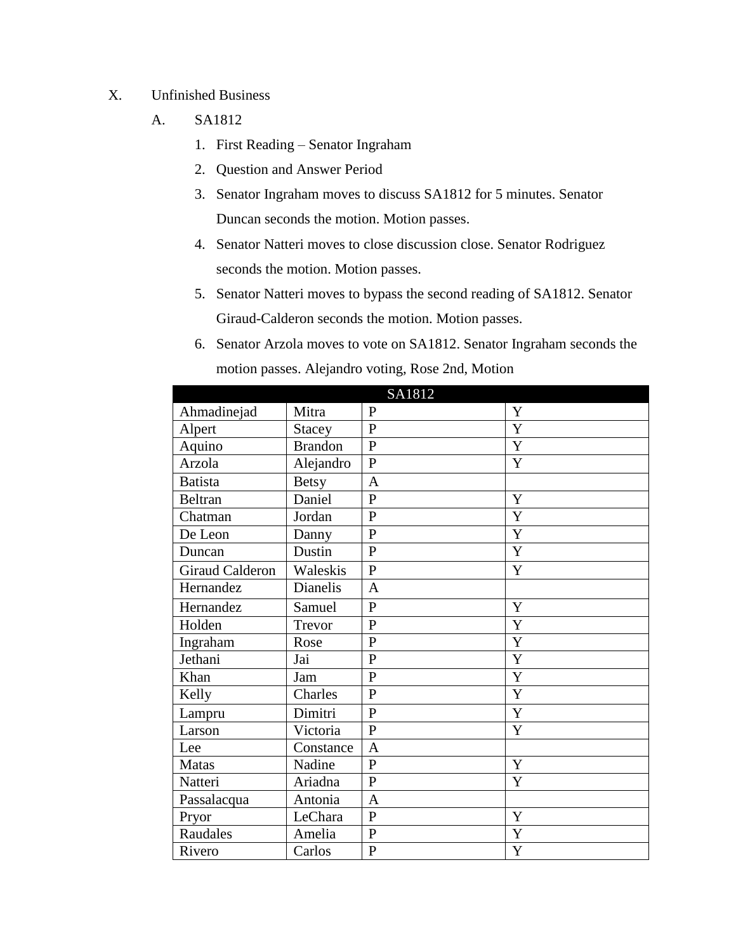- X. Unfinished Business
	- A. SA1812
		- 1. First Reading Senator Ingraham
		- 2. Question and Answer Period
		- 3. Senator Ingraham moves to discuss SA1812 for 5 minutes. Senator Duncan seconds the motion. Motion passes.
		- 4. Senator Natteri moves to close discussion close. Senator Rodriguez seconds the motion. Motion passes.
		- 5. Senator Natteri moves to bypass the second reading of SA1812. Senator Giraud-Calderon seconds the motion. Motion passes.
		- 6. Senator Arzola moves to vote on SA1812. Senator Ingraham seconds the motion passes. Alejandro voting, Rose 2nd, Motion

|                        |                | SA1812         |             |
|------------------------|----------------|----------------|-------------|
| Ahmadinejad            | Mitra          | $\mathbf{P}$   | Y           |
| Alpert                 | <b>Stacey</b>  | $\mathbf{P}$   | Y           |
| Aquino                 | <b>Brandon</b> | $\overline{P}$ | Y           |
| Arzola                 | Alejandro      | $\mathbf{P}$   | Y           |
| <b>Batista</b>         | <b>Betsy</b>   | $\overline{A}$ |             |
| <b>Beltran</b>         | Daniel         | $\mathbf{P}$   | Y           |
| Chatman                | Jordan         | $\mathbf{P}$   | $\mathbf Y$ |
| De Leon                | Danny          | $\overline{P}$ | Y           |
| Duncan                 | Dustin         | $\mathbf{P}$   | Y           |
| <b>Giraud Calderon</b> | Waleskis       | $\mathbf{P}$   | Y           |
| Hernandez              | Dianelis       | $\overline{A}$ |             |
| Hernandez              | Samuel         | $\mathbf{P}$   | Y           |
| Holden                 | Trevor         | $\overline{P}$ | Y           |
| Ingraham               | Rose           | $\mathbf{P}$   | $\mathbf Y$ |
| Jethani                | Jai            | $\mathbf{P}$   | $\mathbf Y$ |
| Khan                   | Jam            | $\mathbf{P}$   | $\mathbf Y$ |
| Kelly                  | Charles        | $\mathbf{P}$   | Y           |
| Lampru                 | Dimitri        | $\mathbf{P}$   | $\mathbf Y$ |
| Larson                 | Victoria       | $\overline{P}$ | Y           |
| Lee                    | Constance      | $\overline{A}$ |             |
| Matas                  | Nadine         | $\mathbf{P}$   | Y           |
| Natteri                | Ariadna        | $\mathbf{P}$   | $\mathbf Y$ |
| Passalacqua            | Antonia        | $\overline{A}$ |             |
| Pryor                  | LeChara        | $\mathbf{P}$   | Y           |
| Raudales               | Amelia         | ${\bf P}$      | Y           |
| Rivero                 | Carlos         | $\mathbf{P}$   | Y           |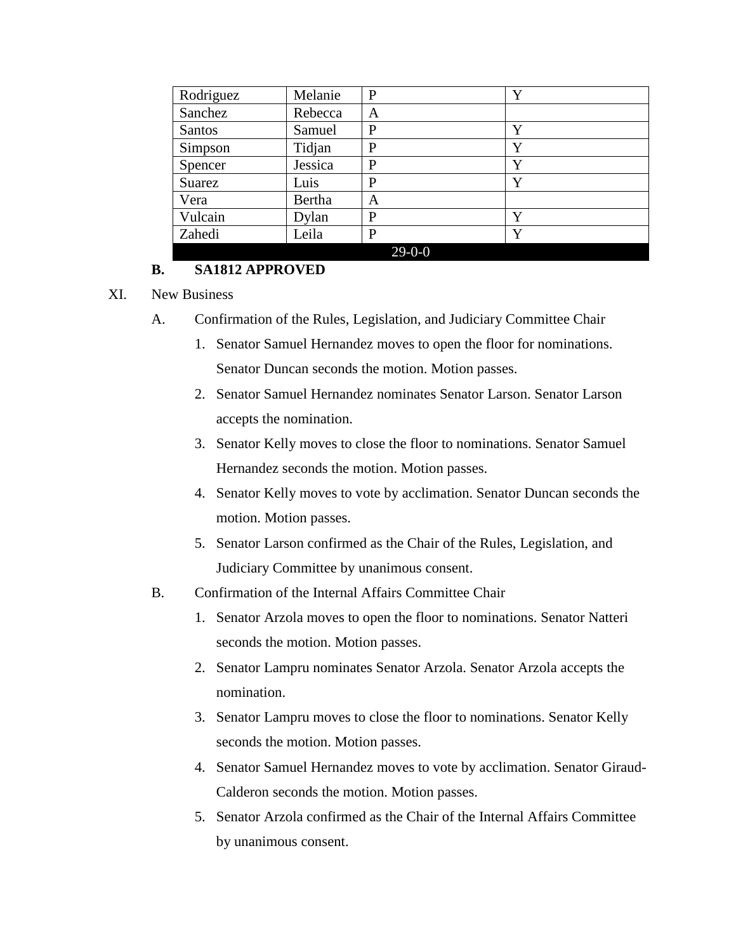| Rodriguez | Melanie | P            | Y |
|-----------|---------|--------------|---|
| Sanchez   | Rebecca | A            |   |
| Santos    | Samuel  | P            | Y |
| Simpson   | Tidjan  | P            | Y |
| Spencer   | Jessica | P            | Y |
| Suarez    | Luis    | P            | Y |
| Vera      | Bertha  | А            |   |
| Vulcain   | Dylan   | P            | Y |
| Zahedi    | Leila   | P            | Y |
|           |         | $29 - 0 - 0$ |   |

### **B. SA1812 APPROVED**

#### XI. New Business

- A. Confirmation of the Rules, Legislation, and Judiciary Committee Chair
	- 1. Senator Samuel Hernandez moves to open the floor for nominations. Senator Duncan seconds the motion. Motion passes.
	- 2. Senator Samuel Hernandez nominates Senator Larson. Senator Larson accepts the nomination.
	- 3. Senator Kelly moves to close the floor to nominations. Senator Samuel Hernandez seconds the motion. Motion passes.
	- 4. Senator Kelly moves to vote by acclimation. Senator Duncan seconds the motion. Motion passes.
	- 5. Senator Larson confirmed as the Chair of the Rules, Legislation, and Judiciary Committee by unanimous consent.
- B. Confirmation of the Internal Affairs Committee Chair
	- 1. Senator Arzola moves to open the floor to nominations. Senator Natteri seconds the motion. Motion passes.
	- 2. Senator Lampru nominates Senator Arzola. Senator Arzola accepts the nomination.
	- 3. Senator Lampru moves to close the floor to nominations. Senator Kelly seconds the motion. Motion passes.
	- 4. Senator Samuel Hernandez moves to vote by acclimation. Senator Giraud-Calderon seconds the motion. Motion passes.
	- 5. Senator Arzola confirmed as the Chair of the Internal Affairs Committee by unanimous consent.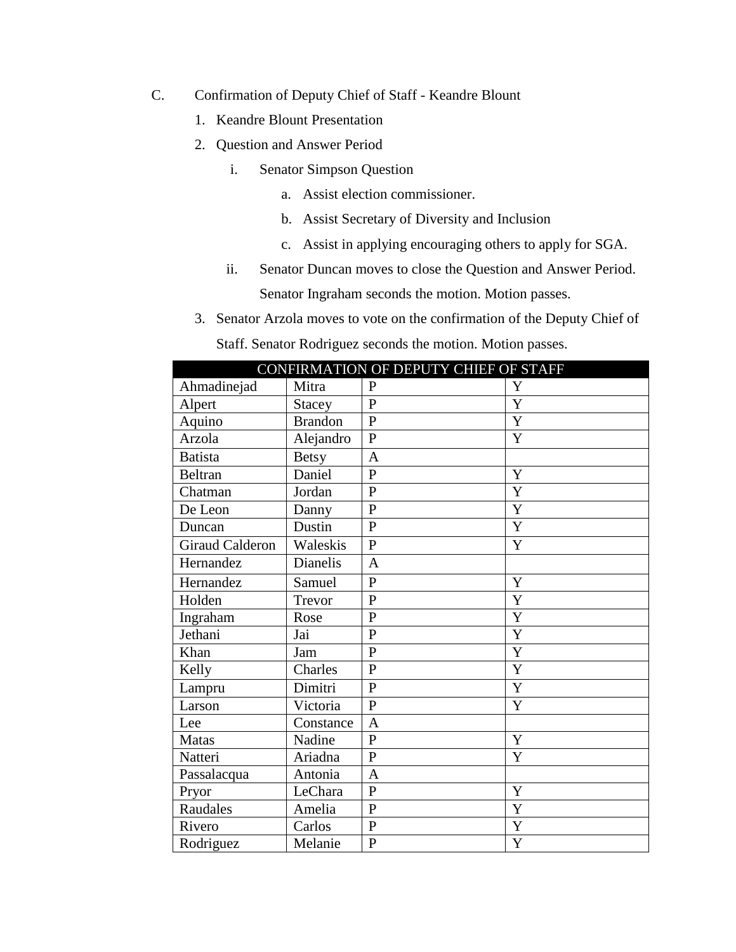- C. Confirmation of Deputy Chief of Staff Keandre Blount
	- 1. Keandre Blount Presentation
	- 2. Question and Answer Period
		- i. Senator Simpson Question
			- a. Assist election commissioner.
			- b. Assist Secretary of Diversity and Inclusion
			- c. Assist in applying encouraging others to apply for SGA.
		- ii. Senator Duncan moves to close the Question and Answer Period. Senator Ingraham seconds the motion. Motion passes.
	- 3. Senator Arzola moves to vote on the confirmation of the Deputy Chief of Staff. Senator Rodriguez seconds the motion. Motion passes.

|                        | CONFIRMATION OF DEPUTY CHIEF OF STAFF |                |   |  |
|------------------------|---------------------------------------|----------------|---|--|
| Ahmadinejad            | Mitra                                 | $\mathbf{P}$   | Y |  |
| Alpert                 | <b>Stacey</b>                         | $\mathbf{P}$   | Y |  |
| Aquino                 | <b>Brandon</b>                        | $\overline{P}$ | Y |  |
| Arzola                 | Alejandro                             | $\mathbf{P}$   | Y |  |
| <b>Batista</b>         | <b>Betsy</b>                          | $\overline{A}$ |   |  |
| <b>Beltran</b>         | Daniel                                | $\mathbf{P}$   | Y |  |
| Chatman                | Jordan                                | $\overline{P}$ | Y |  |
| De Leon                | Danny                                 | $\overline{P}$ | Y |  |
| Duncan                 | Dustin                                | $\mathbf{P}$   | Y |  |
| <b>Giraud Calderon</b> | Waleskis                              | $\mathbf{P}$   | Y |  |
| Hernandez              | Dianelis                              | $\overline{A}$ |   |  |
| Hernandez              | Samuel                                | $\mathbf{P}$   | Y |  |
| Holden                 | Trevor                                | $\overline{P}$ | Y |  |
| Ingraham               | Rose                                  | $\overline{P}$ | Y |  |
| Jethani                | Jai                                   | $\overline{P}$ | Y |  |
| Khan                   | Jam                                   | $\mathbf{P}$   | Y |  |
| Kelly                  | Charles                               | $\overline{P}$ | Y |  |
| Lampru                 | Dimitri                               | $\overline{P}$ | Y |  |
| Larson                 | Victoria                              | $\overline{P}$ | Y |  |
| Lee                    | Constance                             | $\overline{A}$ |   |  |
| <b>Matas</b>           | Nadine                                | $\overline{P}$ | Y |  |
| Natteri                | Ariadna                               | $\mathbf{P}$   | Y |  |
| Passalacqua            | Antonia                               | $\overline{A}$ |   |  |
| Pryor                  | LeChara                               | $\mathbf{P}$   | Y |  |
| Raudales               | Amelia                                | $\overline{P}$ | Y |  |
| Rivero                 | Carlos                                | $\overline{P}$ | Y |  |
| Rodriguez              | Melanie                               | $\mathbf{P}$   | Y |  |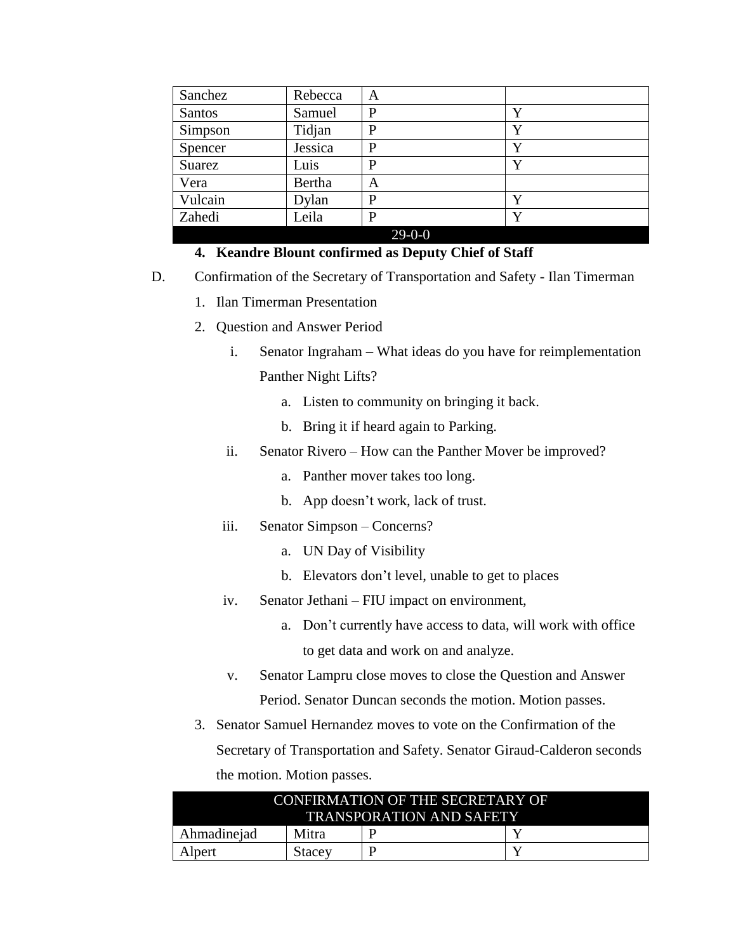| Sanchez | Rebecca | A        |   |
|---------|---------|----------|---|
| Santos  | Samuel  | P        | Y |
| Simpson | Tidjan  | P        | Y |
| Spencer | Jessica | P        | Y |
| Suarez  | Luis    | P        | Y |
| Vera    | Bertha  | Α        |   |
| Vulcain | Dylan   | P        | Y |
| Zahedi  | Leila   | P        | Y |
|         |         | $29-0-0$ |   |

#### **4. Keandre Blount confirmed as Deputy Chief of Staff**

- D. Confirmation of the Secretary of Transportation and Safety Ilan Timerman
	- 1. Ilan Timerman Presentation
	- 2. Question and Answer Period
		- i. Senator Ingraham What ideas do you have for reimplementation Panther Night Lifts?
			- a. Listen to community on bringing it back.
			- b. Bring it if heard again to Parking.
		- ii. Senator Rivero How can the Panther Mover be improved?
			- a. Panther mover takes too long.
			- b. App doesn't work, lack of trust.
		- iii. Senator Simpson Concerns?
			- a. UN Day of Visibility
			- b. Elevators don't level, unable to get to places
		- iv. Senator Jethani FIU impact on environment,
			- a. Don't currently have access to data, will work with office
				- to get data and work on and analyze.
		- v. Senator Lampru close moves to close the Question and Answer Period. Senator Duncan seconds the motion. Motion passes.
	- 3. Senator Samuel Hernandez moves to vote on the Confirmation of the Secretary of Transportation and Safety. Senator Giraud-Calderon seconds the motion. Motion passes.

| CONFIRMATION OF THE SECRETARY OF<br><b>TRANSPORATION AND SAFETY</b> |        |  |  |
|---------------------------------------------------------------------|--------|--|--|
| Ahmadinejad<br>Mitra                                                |        |  |  |
| Alpert                                                              | Stacev |  |  |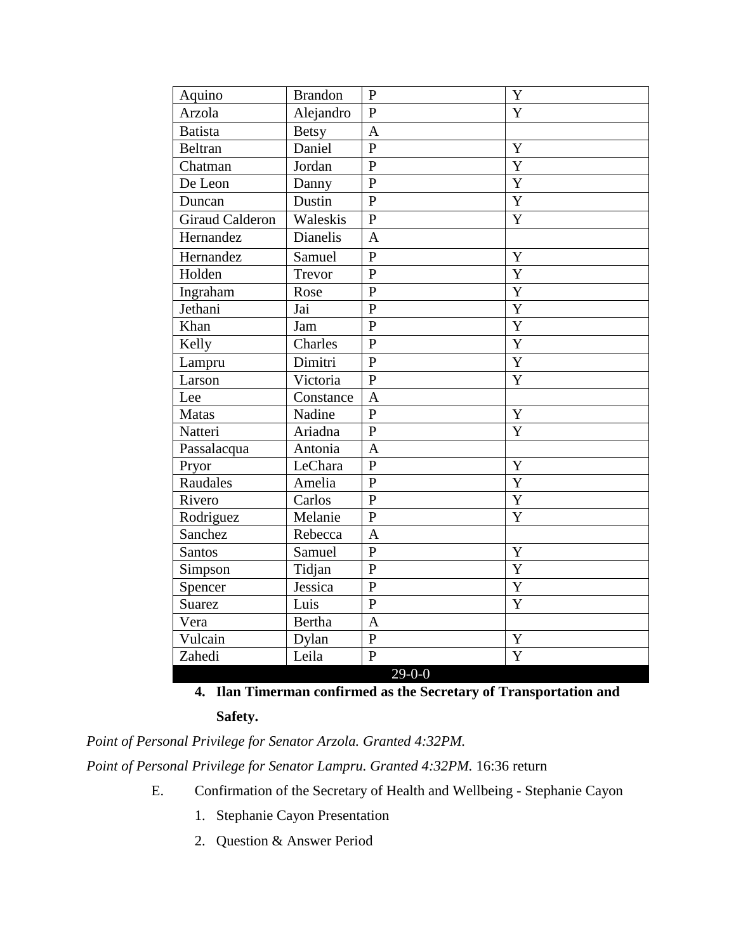| Aquino                 | <b>Brandon</b> | $\mathbf P$    | Y              |
|------------------------|----------------|----------------|----------------|
| Arzola                 | Alejandro      | $\overline{P}$ | Y              |
| Batista                | <b>Betsy</b>   | $\overline{A}$ |                |
| Beltran                | Daniel         | $\overline{P}$ | Y              |
| Chatman                | Jordan         | ${\bf P}$      | Y              |
| De Leon                | Danny          | $\overline{P}$ | Y              |
| Duncan                 | Dustin         | $\overline{P}$ | Y              |
| <b>Giraud Calderon</b> | Waleskis       | $\overline{P}$ | Y              |
| Hernandez              | Dianelis       | $\overline{A}$ |                |
| Hernandez              | Samuel         | $\overline{P}$ | Y              |
| Holden                 | Trevor         | $\overline{P}$ | Y              |
| Ingraham               | Rose           | $\overline{P}$ | $\overline{Y}$ |
| Jethani                | Jai            | $\overline{P}$ | $\overline{Y}$ |
| Khan                   | Jam            | $\mathbf{P}$   | Y              |
| Kelly                  | Charles        | $\overline{P}$ | Y              |
| Lampru                 | Dimitri        | $\overline{P}$ | $\overline{Y}$ |
| Larson                 | Victoria       | $\overline{P}$ | Y              |
| Lee                    | Constance      | $\overline{A}$ |                |
| Matas                  | Nadine         | $\mathbf{P}$   | Y              |
| Natteri                | Ariadna        | $\mathbf{P}$   | Y              |
| Passalacqua            | Antonia        | A              |                |
| Pryor                  | LeChara        | $\overline{P}$ | Y              |
| Raudales               | Amelia         | $\mathbf{P}$   | $\overline{Y}$ |
| Rivero                 | Carlos         | $\mathbf{P}$   | Y              |
| Rodriguez              | Melanie        | $\overline{P}$ | Y              |
| Sanchez                | Rebecca        | $\mathbf{A}$   |                |
| Santos                 | Samuel         | $\overline{P}$ | Y              |
| Simpson                | Tidjan         | $\overline{P}$ | Y              |
| Spencer                | Jessica        | $\overline{P}$ | $\overline{Y}$ |
| Suarez                 | Luis           | $\overline{P}$ | Y              |
| Vera                   | <b>Bertha</b>  | $\overline{A}$ |                |
| Vulcain                | Dylan          | ${\bf P}$      | Y              |
| Zahedi                 | Leila          | $\overline{P}$ | Y              |
|                        |                | $29 - 0 - 0$   |                |

**4. Ilan Timerman confirmed as the Secretary of Transportation and** 

## **Safety.**

*Point of Personal Privilege for Senator Arzola. Granted 4:32PM.*

Point of Personal Privilege for Senator Lampru. Granted 4:32PM. 16:36 return

- E. Confirmation of the Secretary of Health and Wellbeing Stephanie Cayon
	- 1. Stephanie Cayon Presentation
	- 2. Question & Answer Period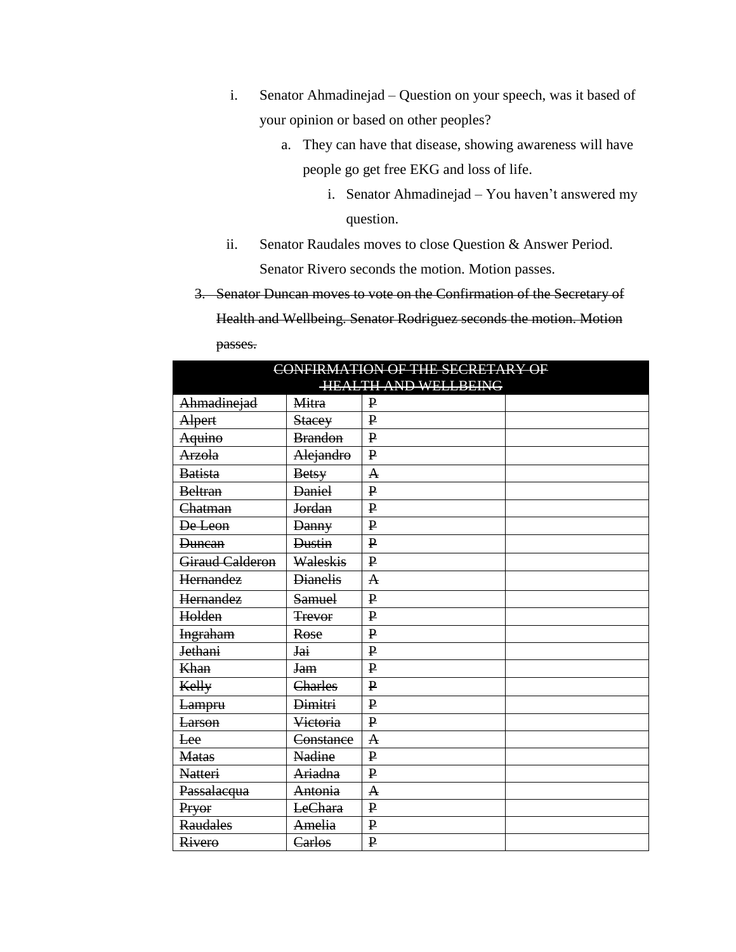- i. Senator Ahmadinejad Question on your speech, was it based of your opinion or based on other peoples?
	- a. They can have that disease, showing awareness will have people go get free EKG and loss of life.
		- i. Senator Ahmadinejad You haven't answered my question.
- ii. Senator Raudales moves to close Question & Answer Period.

Senator Rivero seconds the motion. Motion passes.

3. Senator Duncan moves to vote on the Confirmation of the Secretary of

Health and Wellbeing. Senator Rodriguez seconds the motion. Motion passes.

| CONFIRMATION OF THE SECRETARY OF |                             |              |  |  |
|----------------------------------|-----------------------------|--------------|--|--|
|                                  | <b>HEALTH AND WELLBEING</b> |              |  |  |
| Ahmadinejad                      | <b>Mitra</b>                | ₽            |  |  |
| Alpert                           | <b>Stacey</b>               | $\mathbf{P}$ |  |  |
| Aquino                           | <b>Brandon</b>              | $\mathbf{P}$ |  |  |
| <b>Arzola</b>                    | Alejandro                   | $\mathbf{P}$ |  |  |
| <b>Batista</b>                   | <b>Betsy</b>                | A            |  |  |
| <b>Beltran</b>                   | <b>Daniel</b>               | $\mathbf{P}$ |  |  |
| Chatman                          | Jordan                      | $\mathbf{P}$ |  |  |
| De Leon                          | <b>Danny</b>                | $\mathbf{P}$ |  |  |
| <b>Duncan</b>                    | <b>Dustin</b>               | $\mathbf{P}$ |  |  |
| Giraud Calderon                  | Waleskis                    | $\mathbf{P}$ |  |  |
| Hernandez                        | <b>Dianelis</b>             | $\mathbf A$  |  |  |
| Hernandez                        | <b>Samuel</b>               | $\bf P$      |  |  |
| Holden                           | <b>Trevor</b>               | $\mathbf{P}$ |  |  |
| <b>Ingraham</b>                  | Rose                        | $\mathbf{P}$ |  |  |
| Jethani                          | <b>Jai</b>                  | $\mathbf{P}$ |  |  |
| Khan                             | <del>Jam</del>              | $\mathbf{P}$ |  |  |
| Kelly                            | Charles                     | $\mathbf{P}$ |  |  |
| <del>Lampru</del>                | <b>Dimitri</b>              | $\mathbf{P}$ |  |  |
| <b>Larson</b>                    | Victoria                    | $\mathbf{P}$ |  |  |
| Lee                              | Constance                   | A            |  |  |
| <b>Matas</b>                     | <b>Nadine</b>               | $\mathbf{P}$ |  |  |
| <b>Natteri</b>                   | Ariadna                     | $\mathbf{P}$ |  |  |
| Passalacqua                      | Antonia                     | A            |  |  |
| Pryor                            | LeChara                     | $\mathbf{P}$ |  |  |
| <b>Raudales</b>                  | Amelia                      | $\mathbf{P}$ |  |  |
| Rivero                           | Carlos                      | $\mathbf{P}$ |  |  |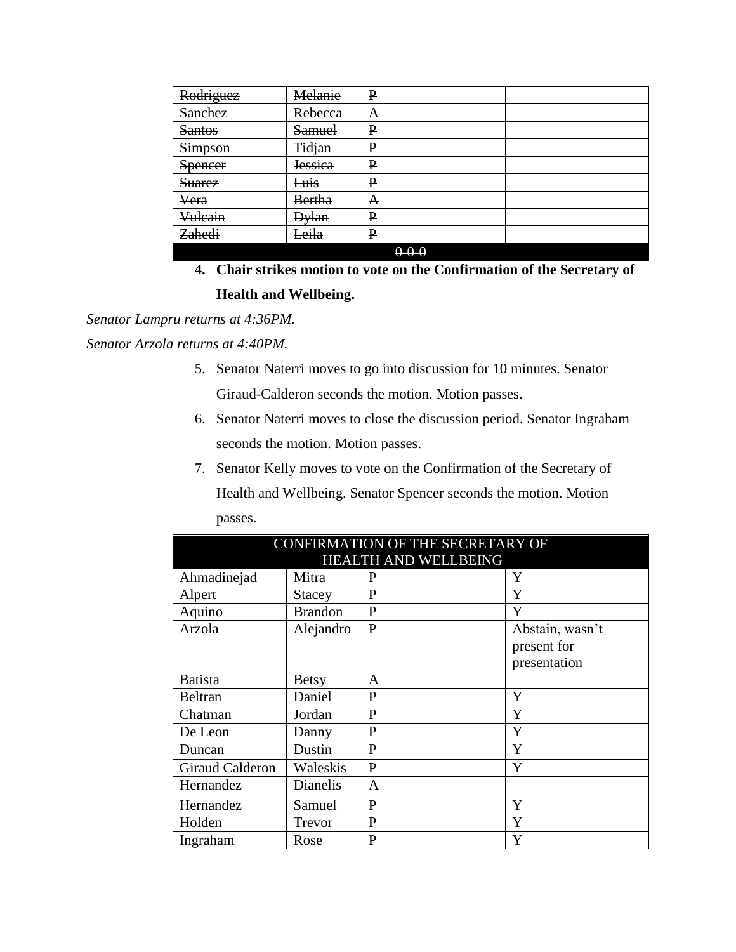| Rodriguez          | Melanie          | ₽           |  |
|--------------------|------------------|-------------|--|
| <b>Sanchez</b>     | Rebecca          | A           |  |
| <b>Santos</b>      | <b>Samuel</b>    | ₽           |  |
| <b>Simpson</b>     | <b>Tidjan</b>    | P           |  |
| <b>Spencer</b>     | <b>Jessica</b>   | P           |  |
| <b>Suarez</b>      | <del>Luis</del>  | P           |  |
| Vera               | <b>Bertha</b>    | A           |  |
| <del>Vulcain</del> | <del>Dylan</del> | P           |  |
| Zahedi             | Leila            | P           |  |
|                    |                  | $0 - 0 - 0$ |  |

**4. Chair strikes motion to vote on the Confirmation of the Secretary of Health and Wellbeing.**

*Senator Lampru returns at 4:36PM.*

*Senator Arzola returns at 4:40PM.*

- 5. Senator Naterri moves to go into discussion for 10 minutes. Senator Giraud-Calderon seconds the motion. Motion passes.
- 6. Senator Naterri moves to close the discussion period. Senator Ingraham seconds the motion. Motion passes.
- 7. Senator Kelly moves to vote on the Confirmation of the Secretary of

Health and Wellbeing. Senator Spencer seconds the motion. Motion passes.

| CONFIRMATION OF THE SECRETARY OF |                 |                             |                 |
|----------------------------------|-----------------|-----------------------------|-----------------|
|                                  |                 | <b>HEALTH AND WELLBEING</b> |                 |
| Ahmadinejad                      | Mitra           | P                           | Y               |
| Alpert                           | <b>Stacey</b>   | P                           | Y               |
| Aquino                           | <b>Brandon</b>  | $\mathbf{P}$                | Y               |
| Arzola                           | Alejandro       | P                           | Abstain, wasn't |
|                                  |                 |                             | present for     |
|                                  |                 |                             | presentation    |
| <b>Batista</b>                   | <b>Betsy</b>    | A                           |                 |
| <b>Beltran</b>                   | Daniel          | P                           | Y               |
| Chatman                          | Jordan          | P                           | Y               |
| De Leon                          | Danny           | P                           | Y               |
| Duncan                           | Dustin          | P                           | Y               |
| <b>Giraud Calderon</b>           | Waleskis        | P                           | Y               |
| Hernandez                        | <b>Dianelis</b> | A                           |                 |
| Hernandez                        | Samuel          | P                           | Y               |
| Holden                           | Trevor          | P                           | Y               |
| Ingraham                         | Rose            | P                           | Y               |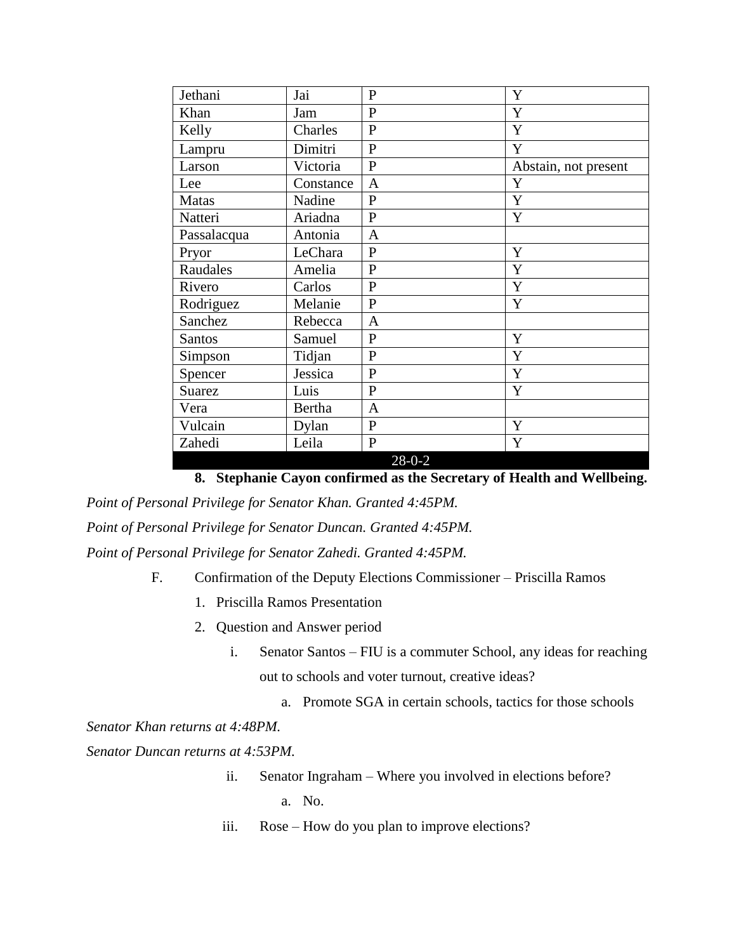| Jethani       | Jai       | $\mathbf{P}$   | Y                    |
|---------------|-----------|----------------|----------------------|
| Khan          | Jam       | $\mathbf{P}$   | Y                    |
| Kelly         | Charles   | $\mathbf{P}$   | Y                    |
| Lampru        | Dimitri   | P              | Y                    |
| Larson        | Victoria  | $\overline{P}$ | Abstain, not present |
| Lee           | Constance | $\mathbf{A}$   | Y                    |
| <b>Matas</b>  | Nadine    | $\mathbf{P}$   | Y                    |
| Natteri       | Ariadna   | $\mathbf{P}$   | Y                    |
| Passalacqua   | Antonia   | $\mathbf{A}$   |                      |
| Pryor         | LeChara   | P              | Y                    |
| Raudales      | Amelia    | $\mathbf{P}$   | Y                    |
| Rivero        | Carlos    | $\mathbf{P}$   | Y                    |
| Rodriguez     | Melanie   | $\mathbf{P}$   | Y                    |
| Sanchez       | Rebecca   | $\mathbf{A}$   |                      |
| <b>Santos</b> | Samuel    | $\mathbf{P}$   | Y                    |
| Simpson       | Tidjan    | $\mathbf{P}$   | Y                    |
| Spencer       | Jessica   | $\mathbf{P}$   | Y                    |
| <b>Suarez</b> | Luis      | P              | Y                    |
| Vera          | Bertha    | $\mathbf{A}$   |                      |
| Vulcain       | Dylan     | $\mathbf{P}$   | Y                    |
| Zahedi        | Leila     | $\mathbf{P}$   | Y                    |
|               |           | $28-0-2$       |                      |

**8. Stephanie Cayon confirmed as the Secretary of Health and Wellbeing.**

*Point of Personal Privilege for Senator Khan. Granted 4:45PM. Point of Personal Privilege for Senator Duncan. Granted 4:45PM.*

*Point of Personal Privilege for Senator Zahedi. Granted 4:45PM.*

- F. Confirmation of the Deputy Elections Commissioner Priscilla Ramos
	- 1. Priscilla Ramos Presentation
	- 2. Question and Answer period
		- i. Senator Santos FIU is a commuter School, any ideas for reaching out to schools and voter turnout, creative ideas?
			- a. Promote SGA in certain schools, tactics for those schools

*Senator Khan returns at 4:48PM.*

*Senator Duncan returns at 4:53PM.*

- ii. Senator Ingraham Where you involved in elections before? a. No.
- iii. Rose How do you plan to improve elections?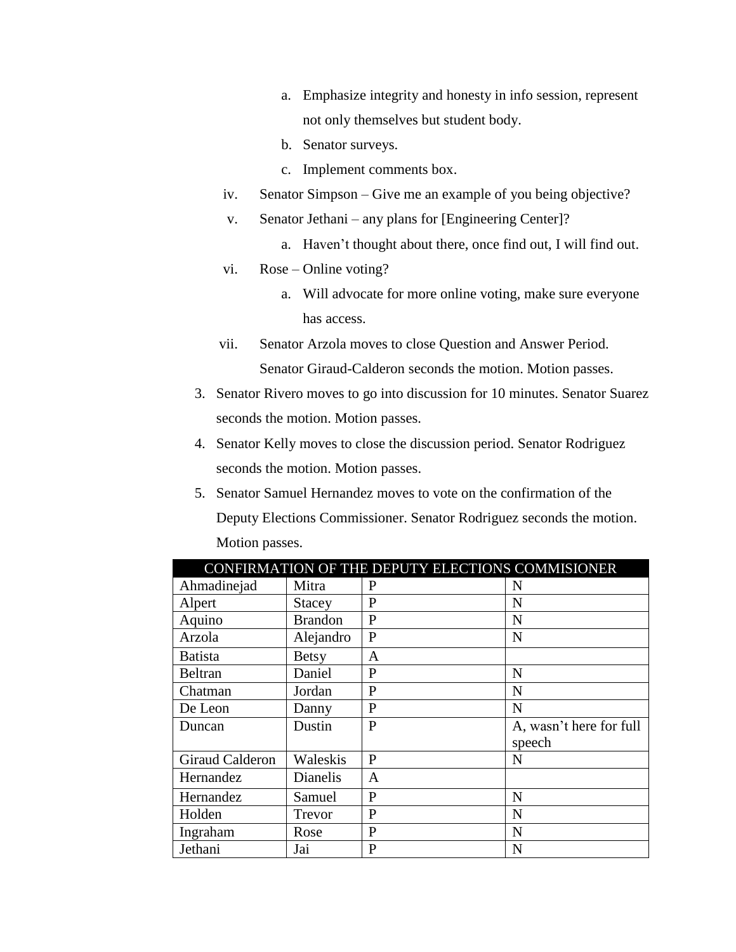- a. Emphasize integrity and honesty in info session, represent not only themselves but student body.
- b. Senator surveys.
- c. Implement comments box.
- iv. Senator Simpson Give me an example of you being objective?
- v. Senator Jethani any plans for [Engineering Center]?
	- a. Haven't thought about there, once find out, I will find out.
- vi. Rose Online voting?
	- a. Will advocate for more online voting, make sure everyone has access.
- vii. Senator Arzola moves to close Question and Answer Period. Senator Giraud-Calderon seconds the motion. Motion passes.
- 3. Senator Rivero moves to go into discussion for 10 minutes. Senator Suarez seconds the motion. Motion passes.
- 4. Senator Kelly moves to close the discussion period. Senator Rodriguez seconds the motion. Motion passes.
- 5. Senator Samuel Hernandez moves to vote on the confirmation of the Deputy Elections Commissioner. Senator Rodriguez seconds the motion. Motion passes.

| CONFIRMATION OF THE DEPUTY ELECTIONS COMMISIONER |                 |              |                         |
|--------------------------------------------------|-----------------|--------------|-------------------------|
| Ahmadinejad                                      | Mitra           | P            | N                       |
| Alpert                                           | <b>Stacey</b>   | P            | N                       |
| Aquino                                           | <b>Brandon</b>  | P            | N                       |
| Arzola                                           | Alejandro       | P            | N                       |
| <b>Batista</b>                                   | <b>Betsy</b>    | A            |                         |
| Beltran                                          | Daniel          | P            | N                       |
| Chatman                                          | Jordan          | P            | N                       |
| De Leon                                          | Danny           | P            | N                       |
| Duncan                                           | Dustin          | P            | A, wasn't here for full |
|                                                  |                 |              | speech                  |
| Giraud Calderon                                  | Waleskis        | P            | N                       |
| Hernandez                                        | <b>Dianelis</b> | A            |                         |
| Hernandez                                        | Samuel          | P            | N                       |
| Holden                                           | Trevor          | $\mathbf{P}$ | N                       |
| Ingraham                                         | Rose            | P            | N                       |
| Jethani                                          | Jai             | P            | N                       |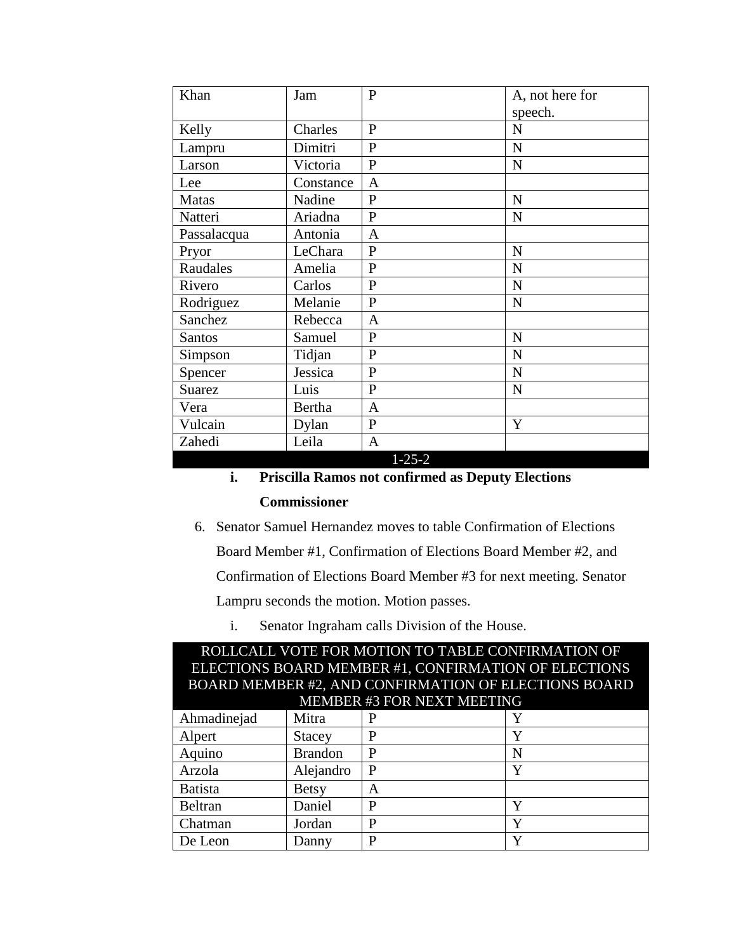| Khan          | Jam           | $\mathbf{P}$             | A, not here for |
|---------------|---------------|--------------------------|-----------------|
|               |               |                          | speech.         |
| Kelly         | Charles       | $\mathbf{P}$             | $\mathbf N$     |
| Lampru        | Dimitri       | $\mathbf{P}$             | N               |
| Larson        | Victoria      | $\overline{P}$           | N               |
| Lee           | Constance     | $\mathbf{A}$             |                 |
| <b>Matas</b>  | Nadine        | $\mathbf{P}$             | $\mathbf N$     |
| Natteri       | Ariadna       | $\overline{P}$           | $\mathbf N$     |
| Passalacqua   | Antonia       | $\mathbf{A}$             |                 |
| Pryor         | LeChara       | $\mathbf{P}$             | N               |
| Raudales      | Amelia        | $\mathbf{P}$             | N               |
| Rivero        | Carlos        | $\mathbf{P}$             | N               |
| Rodriguez     | Melanie       | $\mathbf{P}$             | $\mathbf N$     |
| Sanchez       | Rebecca       | $\mathbf{A}$             |                 |
| Santos        | Samuel        | $\mathbf{P}$             | N               |
| Simpson       | Tidjan        | $\overline{P}$           | $\mathbf N$     |
| Spencer       | Jessica       | $\mathbf{P}$             | $\mathbf N$     |
| <b>Suarez</b> | Luis          | $\mathbf{P}$             | N               |
| Vera          | <b>Bertha</b> | $\mathbf{A}$             |                 |
| Vulcain       | Dylan         | $\mathbf{P}$             | Y               |
| Zahedi        | Leila         | $\mathbf{A}$<br>1, 25, 2 |                 |

1-25-2

**i. Priscilla Ramos not confirmed as Deputy Elections** 

## **Commissioner**

6. Senator Samuel Hernandez moves to table Confirmation of Elections

Board Member #1, Confirmation of Elections Board Member #2, and

Confirmation of Elections Board Member #3 for next meeting. Senator

Lampru seconds the motion. Motion passes.

i. Senator Ingraham calls Division of the House.

| ROLLCALL VOTE FOR MOTION TO TABLE CONFIRMATION OF    |                                                      |   |   |  |
|------------------------------------------------------|------------------------------------------------------|---|---|--|
| ELECTIONS BOARD MEMBER #1, CONFIRMATION OF ELECTIONS |                                                      |   |   |  |
|                                                      | BOARD MEMBER #2, AND CONFIRMATION OF ELECTIONS BOARD |   |   |  |
| MEMBER #3 FOR NEXT MEETING                           |                                                      |   |   |  |
| Ahmadinejad                                          | Mitra                                                |   |   |  |
| Alpert                                               | <b>Stacey</b>                                        | P | Y |  |
| Aquino                                               | <b>Brandon</b>                                       | P | N |  |
| Arzola                                               | Alejandro                                            | P | Y |  |
| <b>Batista</b>                                       | Betsy                                                | A |   |  |
| Beltran                                              | Daniel                                               | P | Y |  |
| Chatman                                              | Jordan                                               | P | Y |  |
| De Leon                                              | Danny                                                | P |   |  |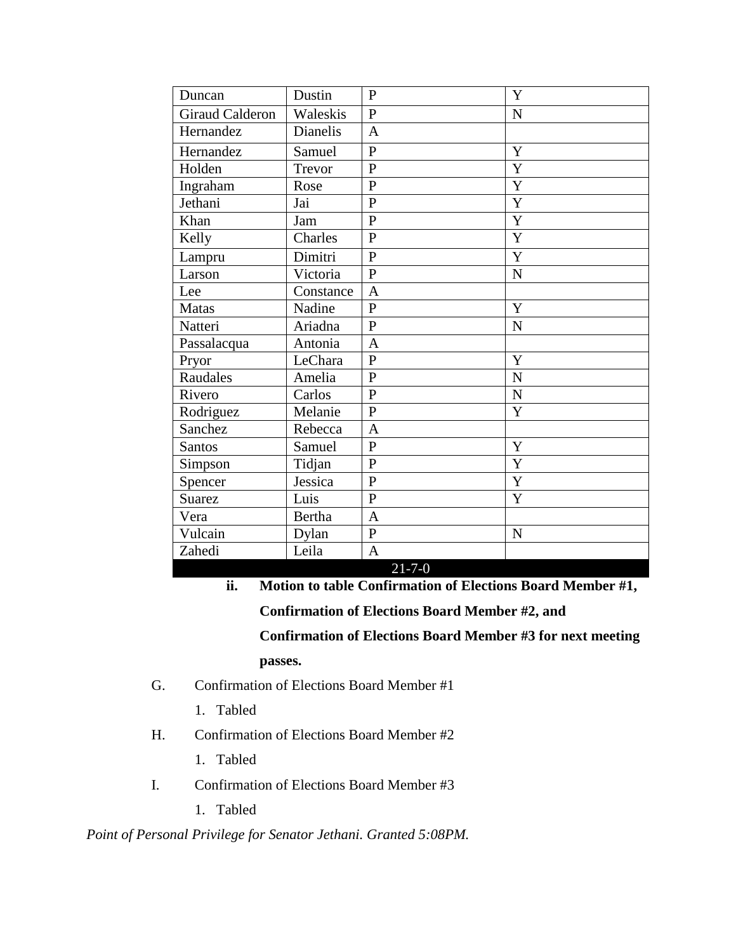| Duncan                 | Dustin        | $\overline{P}$ | Y              |
|------------------------|---------------|----------------|----------------|
| <b>Giraud Calderon</b> | Waleskis      | $\mathbf{P}$   | $\mathbf N$    |
| Hernandez              | Dianelis      | $\overline{A}$ |                |
| Hernandez              | Samuel        | $\overline{P}$ | Y              |
| Holden                 | Trevor        | $\overline{P}$ | Y              |
| Ingraham               | Rose          | $\overline{P}$ | Y              |
| Jethani                | Jai           | $\overline{P}$ | Y              |
| Khan                   | Jam           | $\overline{P}$ | Y              |
| Kelly                  | Charles       | $\mathbf{P}$   | Y              |
| Lampru                 | Dimitri       | $\mathbf{P}$   | Y              |
| Larson                 | Victoria      | $\overline{P}$ | $\overline{N}$ |
| Lee                    | Constance     | $\mathbf{A}$   |                |
| <b>Matas</b>           | Nadine        | $\overline{P}$ | Y              |
| Natteri                | Ariadna       | $\overline{P}$ | N              |
| Passalacqua            | Antonia       | $\mathbf{A}$   |                |
| Pryor                  | LeChara       | $\overline{P}$ | Y              |
| Raudales               | Amelia        | $\overline{P}$ | N              |
| Rivero                 | Carlos        | $\overline{P}$ | $\overline{N}$ |
| Rodriguez              | Melanie       | $\overline{P}$ | Y              |
| Sanchez                | Rebecca       | $\overline{A}$ |                |
| <b>Santos</b>          | Samuel        | $\overline{P}$ | Y              |
| Simpson                | Tidjan        | $\overline{P}$ | Y              |
| Spencer                | Jessica       | $\mathbf{P}$   | Y              |
| <b>Suarez</b>          | Luis          | $\overline{P}$ | Y              |
| Vera                   | <b>Bertha</b> | $\overline{A}$ |                |
| Vulcain                | Dylan         | $\mathbf{P}$   | N              |
| Zahedi                 | Leila         | $\overline{A}$ |                |
|                        |               | $21 - 7 - 0$   |                |

**ii. Motion to table Confirmation of Elections Board Member #1,** 

**Confirmation of Elections Board Member #2, and** 

**Confirmation of Elections Board Member #3 for next meeting** 

**passes.**

- G. Confirmation of Elections Board Member #1
	- 1. Tabled
- H. Confirmation of Elections Board Member #2
	- 1. Tabled
- I. Confirmation of Elections Board Member #3
	- 1. Tabled

# *Point of Personal Privilege for Senator Jethani. Granted 5:08PM.*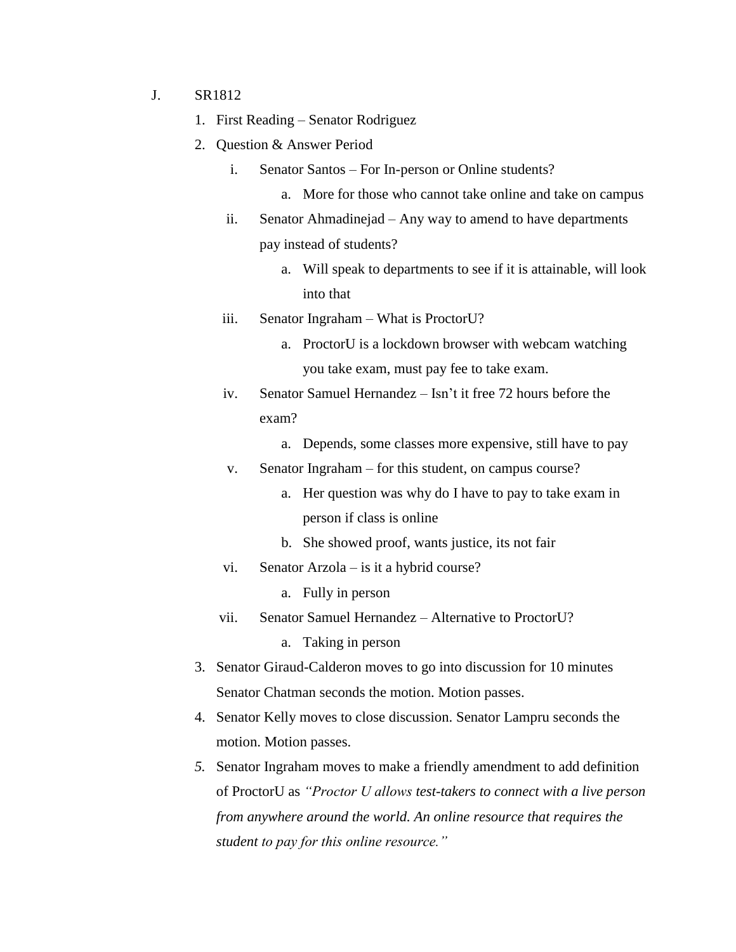- J. SR1812
	- 1. First Reading Senator Rodriguez
	- 2. Question & Answer Period
		- i. Senator Santos For In-person or Online students?
			- a. More for those who cannot take online and take on campus
		- ii. Senator Ahmadinejad Any way to amend to have departments pay instead of students?
			- a. Will speak to departments to see if it is attainable, will look into that
		- iii. Senator Ingraham What is ProctorU?
			- a. ProctorU is a lockdown browser with webcam watching you take exam, must pay fee to take exam.
		- iv. Senator Samuel Hernandez Isn't it free 72 hours before the exam?
			- a. Depends, some classes more expensive, still have to pay
		- v. Senator Ingraham for this student, on campus course?
			- a. Her question was why do I have to pay to take exam in person if class is online
			- b. She showed proof, wants justice, its not fair
		- vi. Senator Arzola is it a hybrid course?
			- a. Fully in person
		- vii. Senator Samuel Hernandez Alternative to ProctorU?
			- a. Taking in person
	- 3. Senator Giraud-Calderon moves to go into discussion for 10 minutes Senator Chatman seconds the motion. Motion passes.
	- 4. Senator Kelly moves to close discussion. Senator Lampru seconds the motion. Motion passes.
	- *5.* Senator Ingraham moves to make a friendly amendment to add definition of ProctorU as *"Proctor U allows test-takers to connect with a live person from anywhere around the world. An online resource that requires the student to pay for this online resource."*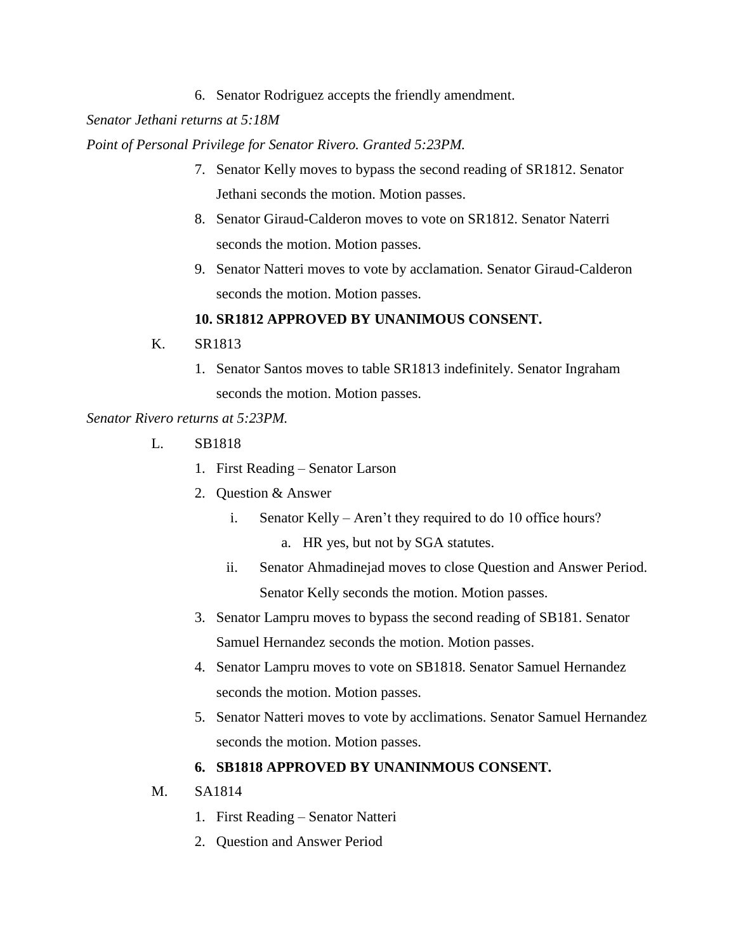6. Senator Rodriguez accepts the friendly amendment.

*Senator Jethani returns at 5:18M*

*Point of Personal Privilege for Senator Rivero. Granted 5:23PM.*

- 7. Senator Kelly moves to bypass the second reading of SR1812. Senator Jethani seconds the motion. Motion passes.
- 8. Senator Giraud-Calderon moves to vote on SR1812. Senator Naterri seconds the motion. Motion passes.
- 9. Senator Natteri moves to vote by acclamation. Senator Giraud-Calderon seconds the motion. Motion passes.

### **10. SR1812 APPROVED BY UNANIMOUS CONSENT.**

- K. SR1813
	- 1. Senator Santos moves to table SR1813 indefinitely. Senator Ingraham seconds the motion. Motion passes.

*Senator Rivero returns at 5:23PM.*

- L. SB1818
	- 1. First Reading Senator Larson
	- 2. Question & Answer
		- i. Senator Kelly Aren't they required to do 10 office hours?
			- a. HR yes, but not by SGA statutes.
		- ii. Senator Ahmadinejad moves to close Question and Answer Period. Senator Kelly seconds the motion. Motion passes.
	- 3. Senator Lampru moves to bypass the second reading of SB181. Senator Samuel Hernandez seconds the motion. Motion passes.
	- 4. Senator Lampru moves to vote on SB1818. Senator Samuel Hernandez seconds the motion. Motion passes.
	- 5. Senator Natteri moves to vote by acclimations. Senator Samuel Hernandez seconds the motion. Motion passes.

### **6. SB1818 APPROVED BY UNANINMOUS CONSENT.**

M. SA1814

- 1. First Reading Senator Natteri
- 2. Question and Answer Period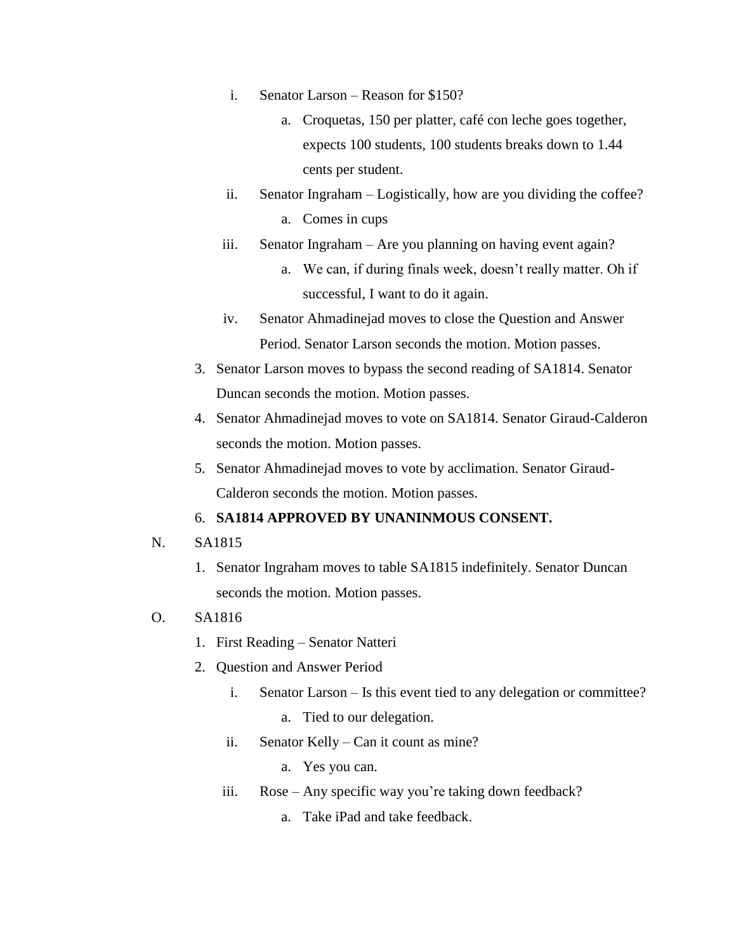- i. Senator Larson Reason for \$150?
	- a. Croquetas, 150 per platter, café con leche goes together, expects 100 students, 100 students breaks down to 1.44 cents per student.
- ii. Senator Ingraham Logistically, how are you dividing the coffee? a. Comes in cups
- iii. Senator Ingraham Are you planning on having event again?
	- a. We can, if during finals week, doesn't really matter. Oh if successful, I want to do it again.
- iv. Senator Ahmadinejad moves to close the Question and Answer Period. Senator Larson seconds the motion. Motion passes.
- 3. Senator Larson moves to bypass the second reading of SA1814. Senator Duncan seconds the motion. Motion passes.
- 4. Senator Ahmadinejad moves to vote on SA1814. Senator Giraud-Calderon seconds the motion. Motion passes.
- 5. Senator Ahmadinejad moves to vote by acclimation. Senator Giraud-Calderon seconds the motion. Motion passes.

### 6. **SA1814 APPROVED BY UNANINMOUS CONSENT.**

- N. SA1815
	- 1. Senator Ingraham moves to table SA1815 indefinitely. Senator Duncan seconds the motion. Motion passes.

# O. SA1816

- 1. First Reading Senator Natteri
- 2. Question and Answer Period
	- i. Senator Larson Is this event tied to any delegation or committee?
		- a. Tied to our delegation.
	- ii. Senator Kelly Can it count as mine?
		- a. Yes you can.
	- iii. Rose Any specific way you're taking down feedback?
		- a. Take iPad and take feedback.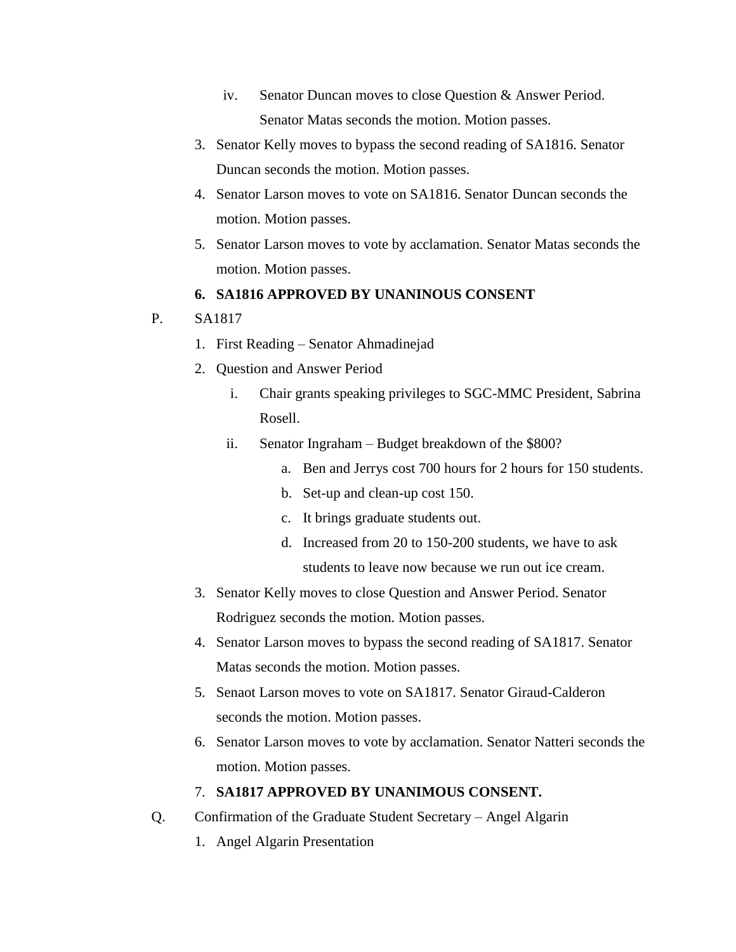- iv. Senator Duncan moves to close Question & Answer Period. Senator Matas seconds the motion. Motion passes.
- 3. Senator Kelly moves to bypass the second reading of SA1816. Senator Duncan seconds the motion. Motion passes.
- 4. Senator Larson moves to vote on SA1816. Senator Duncan seconds the motion. Motion passes.
- 5. Senator Larson moves to vote by acclamation. Senator Matas seconds the motion. Motion passes.

# **6. SA1816 APPROVED BY UNANINOUS CONSENT**

# P. SA1817

- 1. First Reading Senator Ahmadinejad
- 2. Question and Answer Period
	- i. Chair grants speaking privileges to SGC-MMC President, Sabrina Rosell.
	- ii. Senator Ingraham Budget breakdown of the \$800?
		- a. Ben and Jerrys cost 700 hours for 2 hours for 150 students.
		- b. Set-up and clean-up cost 150.
		- c. It brings graduate students out.
		- d. Increased from 20 to 150-200 students, we have to ask students to leave now because we run out ice cream.
- 3. Senator Kelly moves to close Question and Answer Period. Senator Rodriguez seconds the motion. Motion passes.
- 4. Senator Larson moves to bypass the second reading of SA1817. Senator Matas seconds the motion. Motion passes.
- 5. Senaot Larson moves to vote on SA1817. Senator Giraud-Calderon seconds the motion. Motion passes.
- 6. Senator Larson moves to vote by acclamation. Senator Natteri seconds the motion. Motion passes.

# 7. **SA1817 APPROVED BY UNANIMOUS CONSENT.**

- Q. Confirmation of the Graduate Student Secretary Angel Algarin
	- 1. Angel Algarin Presentation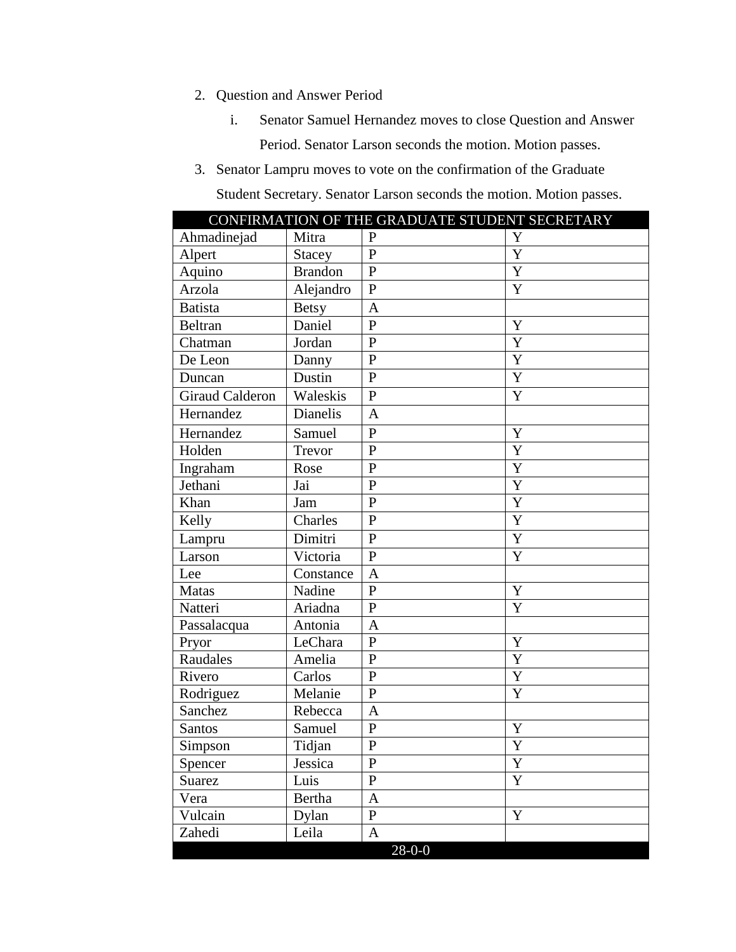# 2. Question and Answer Period

- i. Senator Samuel Hernandez moves to close Question and Answer Period. Senator Larson seconds the motion. Motion passes.
- 3. Senator Lampru moves to vote on the confirmation of the Graduate

Student Secretary. Senator Larson seconds the motion. Motion passes.

|                        |                | CONFIRMATION OF THE GRADUATE STUDENT SECRETARY |             |
|------------------------|----------------|------------------------------------------------|-------------|
| Ahmadinejad            | Mitra          | $\mathbf{P}$                                   | Y           |
| Alpert                 | <b>Stacey</b>  | $\mathbf{P}$                                   | Y           |
| Aquino                 | <b>Brandon</b> | $\mathbf{P}$                                   | Y           |
| Arzola                 | Alejandro      | $\mathbf{P}$                                   | Y           |
| <b>Batista</b>         | <b>Betsy</b>   | A                                              |             |
| Beltran                | Daniel         | $\mathbf{P}$                                   | Y           |
| Chatman                | Jordan         | $\mathbf{P}$                                   | Y           |
| De Leon                | Danny          | ${\bf P}$                                      | Y           |
| Duncan                 | Dustin         | $\mathbf{P}$                                   | Y           |
| <b>Giraud Calderon</b> | Waleskis       | ${\bf P}$                                      | Y           |
| Hernandez              | Dianelis       | A                                              |             |
| Hernandez              | Samuel         | $\mathbf{P}$                                   | Y           |
| Holden                 | Trevor         | P                                              | Y           |
| Ingraham               | Rose           | $\mathbf{P}$                                   | Y           |
| Jethani                | Jai            | $\mathbf{P}$                                   | Y           |
| Khan                   | Jam            | $\mathbf{P}$                                   | Y           |
| Kelly                  | Charles        | $\overline{P}$                                 | Y           |
| Lampru                 | Dimitri        | $\mathbf{P}$                                   | Y           |
| Larson                 | Victoria       | $\overline{P}$                                 | Y           |
| Lee                    | Constance      | A                                              |             |
| Matas                  | Nadine         | $\overline{P}$                                 | Y           |
| Natteri                | Ariadna        | P                                              | Y           |
| Passalacqua            | Antonia        | A                                              |             |
| Pryor                  | LeChara        | $\mathbf{P}$                                   | Y           |
| Raudales               | Amelia         | ${\bf P}$                                      | Y           |
| Rivero                 | Carlos         | $\mathbf{P}$                                   | Y           |
| Rodriguez              | Melanie        | $\mathbf{P}$                                   | Y           |
| Sanchez                | Rebecca        | A                                              |             |
| Santos                 | Samuel         | $\mathbf{P}$                                   | Y           |
| Simpson                | Tidjan         | $\mathbf{P}$                                   | Y           |
| Spencer                | Jessica        | ${\bf P}$                                      | Y           |
| Suarez                 | Luis           | $\mathbf{P}$                                   | $\mathbf Y$ |
| Vera                   | Bertha         | A                                              |             |
| Vulcain                | Dylan          | $\mathbf{P}$                                   | Y           |
| Zahedi                 | Leila          | A                                              |             |
|                        |                | $28 - 0 - 0$                                   |             |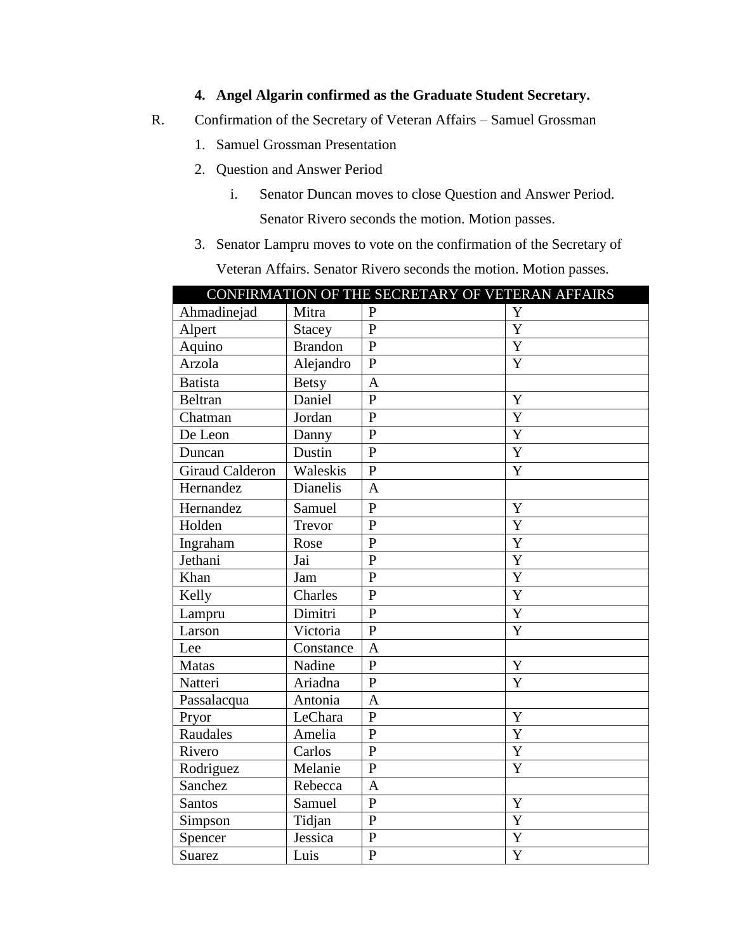# **4. Angel Algarin confirmed as the Graduate Student Secretary.**

- R. Confirmation of the Secretary of Veteran Affairs Samuel Grossman
	- 1. Samuel Grossman Presentation
	- 2. Question and Answer Period
		- i. Senator Duncan moves to close Question and Answer Period. Senator Rivero seconds the motion. Motion passes.
	- 3. Senator Lampru moves to vote on the confirmation of the Secretary of

Veteran Affairs. Senator Rivero seconds the motion. Motion passes.

| CONFIRMATION OF THE SECRETARY OF VETERAN AFFAIRS |                |                |                       |  |
|--------------------------------------------------|----------------|----------------|-----------------------|--|
| Ahmadinejad                                      | Mitra          | $\mathbf{P}$   | Y                     |  |
| Alpert                                           | Stacey         | $\mathbf{P}$   | Y                     |  |
| Aquino                                           | <b>Brandon</b> | $\overline{P}$ | Y                     |  |
| Arzola                                           | Alejandro      | $\overline{P}$ | Y                     |  |
| <b>Batista</b>                                   | <b>Betsy</b>   | A              |                       |  |
| <b>Beltran</b>                                   | Daniel         | $\overline{P}$ | Y                     |  |
| Chatman                                          | Jordan         | $\overline{P}$ | $\overline{Y}$        |  |
| De Leon                                          | Danny          | $\overline{P}$ | Y                     |  |
| Duncan                                           | Dustin         | $\mathbf{P}$   | Y                     |  |
| <b>Giraud Calderon</b>                           | Waleskis       | $\overline{P}$ | Y                     |  |
| Hernandez                                        | Dianelis       | $\mathbf{A}$   |                       |  |
| Hernandez                                        | Samuel         | $\overline{P}$ | Y                     |  |
| Holden                                           | Trevor         | $\overline{P}$ | Y                     |  |
| Ingraham                                         | Rose           | $\overline{P}$ | Y                     |  |
| Jethani                                          | Jai            | $\overline{P}$ | $\overline{\text{Y}}$ |  |
| Khan                                             | Jam            | $\overline{P}$ | Y                     |  |
| Kelly                                            | Charles        | $\overline{P}$ | Y                     |  |
| Lampru                                           | Dimitri        | $\mathbf{P}$   | Y                     |  |
| Larson                                           | Victoria       | $\overline{P}$ | Y                     |  |
| Lee                                              | Constance      | $\overline{A}$ |                       |  |
| Matas                                            | Nadine         | $\overline{P}$ | Y                     |  |
| Natteri                                          | Ariadna        | $\mathbf{P}$   | Y                     |  |
| Passalacqua                                      | Antonia        | A              |                       |  |
| Pryor                                            | LeChara        | $\overline{P}$ | Y                     |  |
| Raudales                                         | Amelia         | $\mathbf{P}$   | Y                     |  |
| Rivero                                           | Carlos         | $\mathbf{P}$   | Y                     |  |
| Rodriguez                                        | Melanie        | $\mathbf{P}$   | Y                     |  |
| Sanchez                                          | Rebecca        | $\overline{A}$ |                       |  |
| <b>Santos</b>                                    | Samuel         | $\overline{P}$ | Y                     |  |
| Simpson                                          | Tidjan         | $\mathbf{P}$   | Y                     |  |
| Spencer                                          | Jessica        | $\mathbf{P}$   | Y                     |  |
| Suarez                                           | Luis           | $\overline{P}$ | $\overline{Y}$        |  |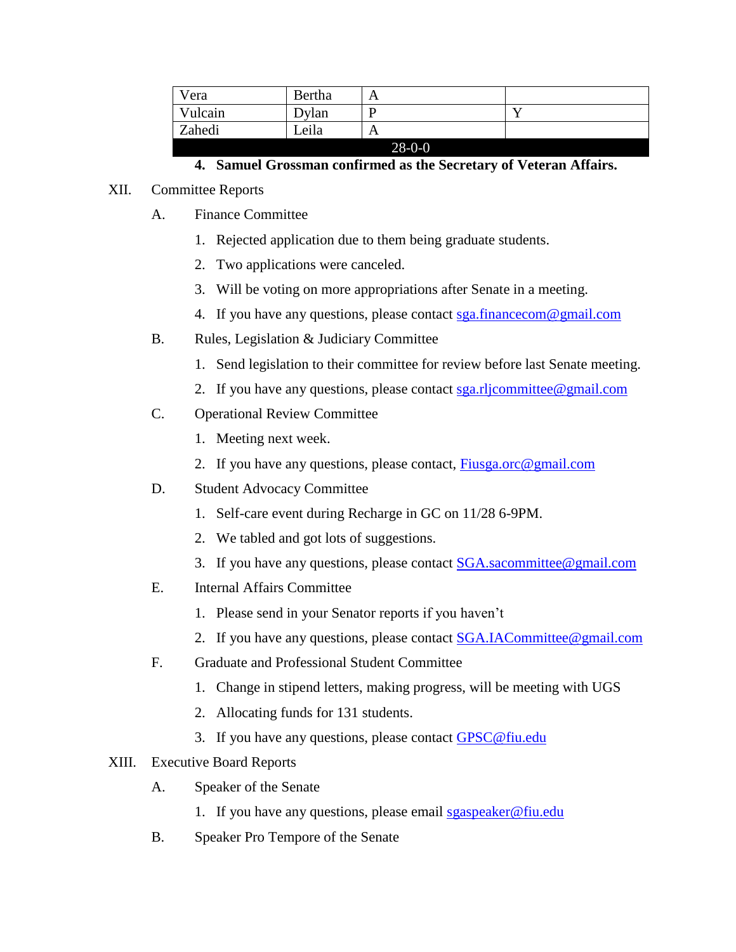| Vera    | Bertha |              |  |
|---------|--------|--------------|--|
| Vulcain | Dylan  |              |  |
| Zahedi  | Leila  | A            |  |
|         |        | $28 - 0 - 0$ |  |

# **4. Samuel Grossman confirmed as the Secretary of Veteran Affairs.**

## XII. Committee Reports

- A. Finance Committee
	- 1. Rejected application due to them being graduate students.
	- 2. Two applications were canceled.
	- 3. Will be voting on more appropriations after Senate in a meeting.
	- 4. If you have any questions, please contact [sga.financecom@gmail.com](mailto:sga.financecom@gmail.com)
- B. Rules, Legislation & Judiciary Committee
	- 1. Send legislation to their committee for review before last Senate meeting.
	- 2. If you have any questions, please contact  $sga.rli$  committee @gmail.com
- C. Operational Review Committee
	- 1. Meeting next week.
	- 2. If you have any questions, please contact, [Fiusga.orc@gmail.com](mailto:Fiusga.orc@gmail.com)
- D. Student Advocacy Committee
	- 1. Self-care event during Recharge in GC on 11/28 6-9PM.
	- 2. We tabled and got lots of suggestions.
	- 3. If you have any questions, please contact [SGA.sacommittee@gmail.com](mailto:SGA.sacommittee@gmail.com)
- E. Internal Affairs Committee
	- 1. Please send in your Senator reports if you haven't
	- 2. If you have any questions, please contact [SGA.IACommittee@gmail.com](mailto:SGA.IACommittee@gmail.com)
- F. Graduate and Professional Student Committee
	- 1. Change in stipend letters, making progress, will be meeting with UGS
	- 2. Allocating funds for 131 students.
	- 3. If you have any questions, please contact [GPSC@fiu.edu](mailto:GPSC@fiu.edu)

# XIII. Executive Board Reports

- A. Speaker of the Senate
	- 1. If you have any questions, please email [sgaspeaker@fiu.edu](mailto:sgaspeaker@fiu.edu)
- B. Speaker Pro Tempore of the Senate